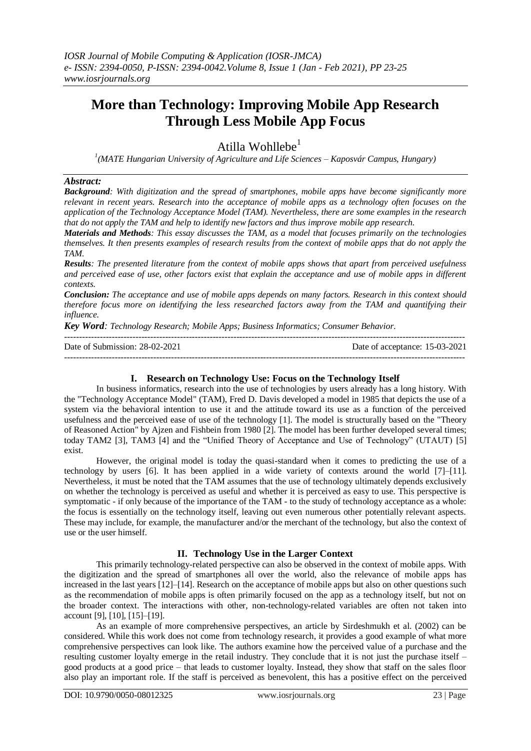# **More than Technology: Improving Mobile App Research Through Less Mobile App Focus**

# Atilla Wohllebe $<sup>1</sup>$ </sup>

*1 (MATE Hungarian University of Agriculture and Life Sciences – Kaposvár Campus, Hungary)*

## *Abstract:*

*Background: With digitization and the spread of smartphones, mobile apps have become significantly more relevant in recent years. Research into the acceptance of mobile apps as a technology often focuses on the application of the Technology Acceptance Model (TAM). Nevertheless, there are some examples in the research that do not apply the TAM and help to identify new factors and thus improve mobile app research.*

*Materials and Methods: This essay discusses the TAM, as a model that focuses primarily on the technologies themselves. It then presents examples of research results from the context of mobile apps that do not apply the TAM.*

*Results: The presented literature from the context of mobile apps shows that apart from perceived usefulness and perceived ease of use, other factors exist that explain the acceptance and use of mobile apps in different contexts.*

*Conclusion: The acceptance and use of mobile apps depends on many factors. Research in this context should therefore focus more on identifying the less researched factors away from the TAM and quantifying their influence.*

*Key Word: Technology Research; Mobile Apps; Business Informatics; Consumer Behavior.*

| Date of Submission: 28-02-2021 | Date of acceptance: 15-03-2021 |
|--------------------------------|--------------------------------|
|                                |                                |

# **I. Research on Technology Use: Focus on the Technology Itself**

In business informatics, research into the use of technologies by users already has a long history. With the "Technology Acceptance Model" (TAM), Fred D. Davis developed a model in 1985 that depicts the use of a system via the behavioral intention to use it and the attitude toward its use as a function of the perceived usefulness and the perceived ease of use of the technology [1]. The model is structurally based on the "Theory of Reasoned Action" by Ajzen and Fishbein from 1980 [2]. The model has been further developed several times; today TAM2 [3], TAM3 [4] and the "Unified Theory of Acceptance and Use of Technology" (UTAUT) [5] exist.

However, the original model is today the quasi-standard when it comes to predicting the use of a technology by users [6]. It has been applied in a wide variety of contexts around the world [7]–[11]. Nevertheless, it must be noted that the TAM assumes that the use of technology ultimately depends exclusively on whether the technology is perceived as useful and whether it is perceived as easy to use. This perspective is symptomatic - if only because of the importance of the TAM - to the study of technology acceptance as a whole: the focus is essentially on the technology itself, leaving out even numerous other potentially relevant aspects. These may include, for example, the manufacturer and/or the merchant of the technology, but also the context of use or the user himself.

# **II. Technology Use in the Larger Context**

This primarily technology-related perspective can also be observed in the context of mobile apps. With the digitization and the spread of smartphones all over the world, also the relevance of mobile apps has increased in the last years [12]–[14]. Research on the acceptance of mobile apps but also on other questions such as the recommendation of mobile apps is often primarily focused on the app as a technology itself, but not on the broader context. The interactions with other, non-technology-related variables are often not taken into account [9], [10], [15]–[19].

As an example of more comprehensive perspectives, an article by Sirdeshmukh et al. (2002) can be considered. While this work does not come from technology research, it provides a good example of what more comprehensive perspectives can look like. The authors examine how the perceived value of a purchase and the resulting customer loyalty emerge in the retail industry. They conclude that it is not just the purchase itself – good products at a good price – that leads to customer loyalty. Instead, they show that staff on the sales floor also play an important role. If the staff is perceived as benevolent, this has a positive effect on the perceived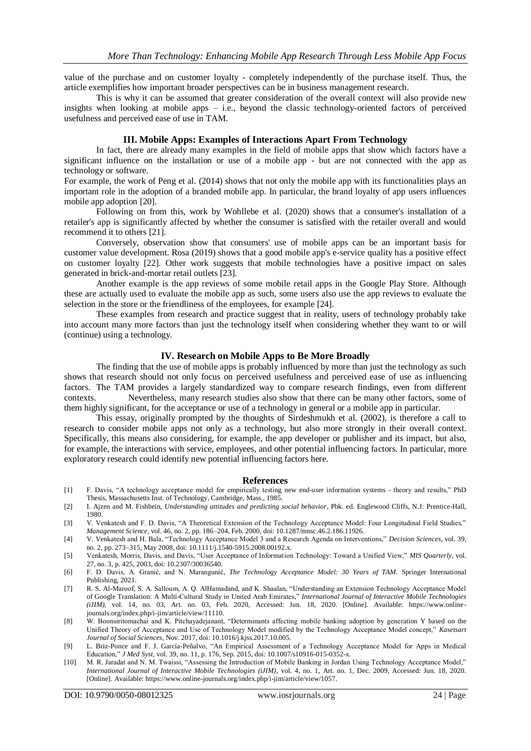value of the purchase and on customer loyalty - completely independently of the purchase itself. Thus, the article exemplifies how important broader perspectives can be in business management research.

This is why it can be assumed that greater consideration of the overall context will also provide new insights when looking at mobile apps – i.e., beyond the classic technology-oriented factors of perceived usefulness and perceived ease of use in TAM.

#### **III. Mobile Apps: Examples of Interactions Apart From Technology**

In fact, there are already many examples in the field of mobile apps that show which factors have a significant influence on the installation or use of a mobile app - but are not connected with the app as technology or software.

For example, the work of Peng et al. (2014) shows that not only the mobile app with its functionalities plays an important role in the adoption of a branded mobile app. In particular, the brand loyalty of app users influences mobile app adoption [20].

Following on from this, work by Wohllebe et al. (2020) shows that a consumer's installation of a retailer's app is significantly affected by whether the consumer is satisfied with the retailer overall and would recommend it to others [21].

Conversely, observation show that consumers' use of mobile apps can be an important basis for customer value development. Rosa (2019) shows that a good mobile app's e-service quality has a positive effect on customer loyalty [22]. Other work suggests that mobile technologies have a positive impact on sales generated in brick-and-mortar retail outlets [23].

Another example is the app reviews of some mobile retail apps in the Google Play Store. Although these are actually used to evaluate the mobile app as such, some users also use the app reviews to evaluate the selection in the store or the friendliness of the employees, for example [24].

These examples from research and practice suggest that in reality, users of technology probably take into account many more factors than just the technology itself when considering whether they want to or will (continue) using a technology.

## **IV. Research on Mobile Apps to Be More Broadly**

The finding that the use of mobile apps is probably influenced by more than just the technology as such shows that research should not only focus on perceived usefulness and perceived ease of use as influencing factors. The TAM provides a largely standardized way to compare research findings, even from different contexts. Nevertheless, many research studies also show that there can be many other factors, some of them highly significant, for the acceptance or use of a technology in general or a mobile app in particular.

This essay, originally prompted by the thoughts of Sirdeshmukh et al. (2002), is therefore a call to research to consider mobile apps not only as a technology, but also more strongly in their overall context. Specifically, this means also considering, for example, the app developer or publisher and its impact, but also, for example, the interactions with service, employees, and other potential influencing factors. In particular, more exploratory research could identify new potential influencing factors here.

#### **References**

- [1] F. Davis, "A technology acceptance model for empirically testing new end-user information systems theory and results," PhD Thesis, Massachusetts Inst. of Technology, Cambridge, Mass., 1985.
- [2] I. Ajzen and M. Fishbein, *Understanding attitudes and predicting social behavior*, Pbk. ed. Englewood Cliffs, N.J: Prentice-Hall, 1980.
- [3] V. Venkatesh and F. D. Davis, "A Theoretical Extension of the Technology Acceptance Model: Four Longitudinal Field Studies," *Management Science*, vol. 46, no. 2, pp. 186–204, Feb. 2000, doi: 10.1287/mnsc.46.2.186.11926.
- [4] V. Venkatesh and H. Bala, "Technology Acceptance Model 3 and a Research Agenda on Interventions," *Decision Sciences*, vol. 39, no. 2, pp. 273–315, May 2008, doi: 10.1111/j.1540-5915.2008.00192.x.
- [5] Venkatesh, Morris, Davis, and Davis, "User Acceptance of Information Technology: Toward a Unified View," *MIS Quarterly*, vol. 27, no. 3, p. 425, 2003, doi: 10.2307/30036540.
- [6] F. D. Davis, A. Granić, and N. Marangunić, *The Technology Acceptance Model: 30 Years of TAM*. Springer International Publishing, 2021.
- [7] R. S. Al-Maroof, S. A. Salloum, A. Q. AlHamadand, and K. Shaalan, "Understanding an Extension Technology Acceptance Model of Google Translation: A Multi-Cultural Study in United Arab Emirates," *International Journal of Interactive Mobile Technologies (iJIM)*, vol. 14, no. 03, Art. no. 03, Feb. 2020, Accessed: Jun. 18, 2020. [Online]. Available: https://www.onlinejournals.org/index.php/i-jim/article/view/11110.
- [8] W. Boonsiritomachai and K. Pitchayadejanant, "Determinants affecting mobile banking adoption by generation Y based on the Unified Theory of Acceptance and Use of Technology Model modified by the Technology Acceptance Model concept," *Kasetsart Journal of Social Sciences*, Nov. 2017, doi: 10.1016/j.kjss.2017.10.005.
- [9] L. Briz-Ponce and F. J. García-Peñalvo, "An Empirical Assessment of a Technology Acceptance Model for Apps in Medical Education," *J Med Syst*, vol. 39, no. 11, p. 176, Sep. 2015, doi: 10.1007/s10916-015-0352-x.
- [10] M. R. Jaradat and N. M. Twaissi, "Assessing the Introduction of Mobile Banking in Jordan Using Technology Acceptance Model," *International Journal of Interactive Mobile Technologies (iJIM)*, vol. 4, no. 1, Art. no. 1, Dec. 2009, Accessed: Jun. 18, 2020. [Online]. Available: https://www.online-journals.org/index.php/i-jim/article/view/1057.